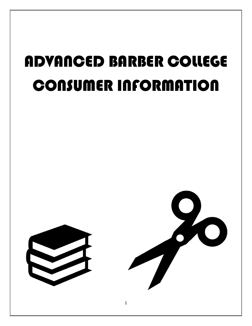# ADVANCED BARBER COLLEGE CONSUMER INFORMATION



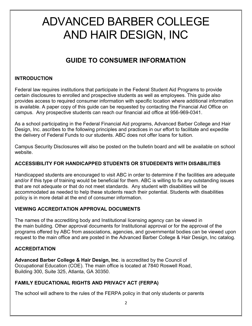# ADVANCED BARBER COLLEGE AND HAIR DESIGN, INC

# GUIDE TO CONSUMER INFORMATION

#### INTRODUCTION

Federal law requires institutions that participate in the Federal Student Aid Programs to provide certain disclosures to enrolled and prospective students as well as employees. This guide also provides access to required consumer information with specific location where additional information is available. A paper copy of this guide can be requested by contacting the Financial Aid Office on campus. Any prospective students can reach our financial aid office at 956-969-0341.

As a school participating in the Federal Financial Aid programs, Advanced Barber College and Hair Design, Inc. ascribes to the following principles and practices in our effort to facilitate and expedite the delivery of Federal Funds to our students. ABC does not offer loans for tuition.

Campus Security Disclosures will also be posted on the bulletin board and will be available on school website.

# ACCESSIBILITY FOR HANDICAPPED STUDENTS OR STUDEDENTS WITH DISABILITIES

Handicapped students are encouraged to visit ABC in order to determine if the facilities are adequate and/or if this type of training would be beneficial for them. ABC is willing to fix any outstanding issues that are not adequate or that do not meet standards. Any student with disabilities will be accommodated as needed to help these students reach their potential. Students with disabilities policy is in more detail at the end of consumer information.

#### VIEWING ACCREDITATION APPROVAL DOCUMENTS

The names of the accrediting body and Institutional licensing agency can be viewed in the main building. Other approval documents for Institutional approval or for the approval of the programs offered by ABC from associations, agencies, and governmental bodies can be viewed upon request to the main office and are posted in the Advanced Barber College & Hair Design, Inc catalog.

# **ACCREDITATION**

Advanced Barber College & Hair Design, Inc. is accredited by the Council of Occupational Education (COE). The main office is located at 7840 Roswell Road, Building 300, Suite 325, Atlanta, GA 30350.

# FAMILY EDUCATIONAL RIGHTS AND PRIVACY ACT (FERPA)

The school will adhere to the rules of the FERPA policy in that only students or parents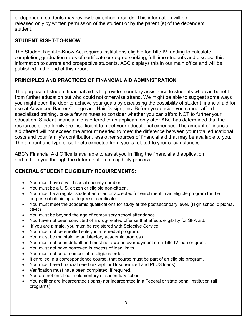of dependent students may review their school records. This information will be released only by written permission of the student or by the parent (s) of the dependent student.

#### STUDENT RIGHT-TO-KNOW

The Student Right-to-Know Act requires institutions eligible for Title IV funding to calculate completion, graduation rates of certificate or degree seeking, full-time students and disclose this information to current and prospective students. ABC displays this in our main office and will be published in the end of this report.

# PRINCIPLES AND PRACTICES OF FINANCIAL AID ADMINISTRATION

The purpose of student financial aid is to provide monetary assistance to students who can benefit from further education but who could not otherwise attend. We might be able to suggest some ways you might open the door to achieve your goals by discussing the possibility of student financial aid for use at Advanced Barber College and Hair Design, Inc. Before you decide you cannot afford specialized training, take a few minutes to consider whether you can afford NOT to further your education. Student financial aid is offered to an applicant only after ABC has determined that the resources of the family are insufficient to meet your educational expenses. The amount of financial aid offered will not exceed the amount needed to meet the difference between your total educational costs and your family's contribution, less other sources of financial aid that may be available to you. The amount and type of self-help expected from you is related to your circumstances.

ABC's Financial Aid Office is available to assist you in filing the financial aid application, and to help you through the determination of eligibility process.

# GENERAL STUDENT ELIGIBILITY REQUIREMENTS:

- You must have a valid social security number.
- You must be a U.S. citizen or eligible non-citizen.
- You must be a regular student enrolled or accepted for enrollment in an eligible program for the purpose of obtaining a degree or certificate.
- You must meet the academic qualifications for study at the postsecondary level. (High school diploma, GED)
- You must be beyond the age of compulsory school attendance.
- You have not been convicted of a drug-related offense that affects eligibility for SFA aid.
- If you are a male, you must be registered with Selective Service.
- You must not be enrolled solely in a remedial program.
- You must be maintaining satisfactory academic progress.
- You must not be in default and must not owe an overpayment on a Title IV loan or grant.
- You must not have borrowed in excess of loan limits.
- You must not be a member of a religious order.
- If enrolled in a correspondence course, that course must be part of an eligible program.
- You must have financial need (except for Unsubsidized and PLUS loans).
- Verification must have been completed, if required.
- You are not enrolled in elementary or secondary school.
- You neither are incarcerated (loans) nor incarcerated in a Federal or state penal institution (all programs).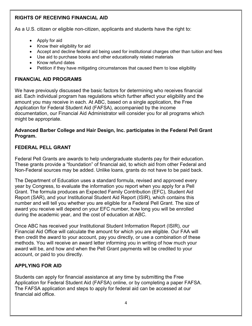# RIGHTS OF RECEIVING FINANCIAL AID

As a U.S. citizen or eligible non-citizen, applicants and students have the right to:

- Apply for aid
- Know their eligibility for aid
- Accept and decline federal aid being used for institutional charges other than tuition and fees
- Use aid to purchase books and other educationally related materials
- Know refund dates
- Petition if they have mitigating circumstances that caused them to lose eligibility

# FINANCIAL AID PROGRAMS

We have previously discussed the basic factors for determining who receives financial aid. Each individual program has regulations which further affect your eligibility and the amount you may receive in each. At ABC, based on a single application, the Free Application for Federal Student Aid (FAFSA), accompanied by the income documentation, our Financial Aid Administrator will consider you for all programs which might be appropriate.

#### Advanced Barber College and Hair Design, Inc. participates in the Federal Pell Grant Program.

#### FEDERAL PELL GRANT

Federal Pell Grants are awards to help undergraduate students pay for their education. These grants provide a "foundation" of financial aid, to which aid from other Federal and Non-Federal sources may be added. Unlike loans, grants do not have to be paid back.

The Department of Education uses a standard formula, revised and approved every year by Congress, to evaluate the information you report when you apply for a Pell Grant. The formula produces an Expected Family Contribution (EFC), Student Aid Report (SAR), and your Institutional Student Aid Report (ISIR), which contains this number and will tell you whether you are eligible for a Federal Pell Grant. The size of award you receive will depend on your EFC number, how long you will be enrolled during the academic year, and the cost of education at ABC.

Once ABC has received your Institutional Student Information Report (ISIR), our Financial Aid Office will calculate the amount for which you are eligible. Our FAA will then credit the award to your account, pay you directly, or use a combination of these methods. You will receive an award letter informing you in writing of how much your award will be, and how and when the Pell Grant payments will be credited to your account, or paid to you directly.

# APPLYING FOR AID

Students can apply for financial assistance at any time by submitting the Free Application for Federal Student Aid (FAFSA) online, or by completing a paper FAFSA. The FAFSA application and steps to apply for federal aid can be accessed at our financial aid office.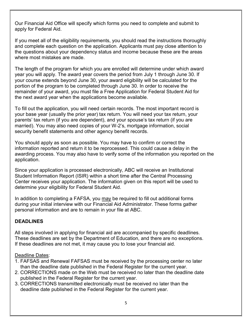Our Financial Aid Office will specify which forms you need to complete and submit to apply for Federal Aid.

If you meet all of the eligibility requirements, you should read the instructions thoroughly and complete each question on the application. Applicants must pay close attention to the questions about your dependency status and income because these are the areas where most mistakes are made.

The length of the program for which you are enrolled will determine under which award year you will apply. The award year covers the period from July 1 through June 30. If your course extends beyond June 30, your award eligibility will be calculated for the portion of the program to be completed through June 30. In order to receive the remainder of your award, you must file a Free Application for Federal Student Aid for the next award year when the applications become available.

To fill out the application, you will need certain records. The most important record is your base year (usually the prior year) tax return. You will need your tax return, your parents' tax return (if you are dependent), and your spouse's tax return (if you are married). You may also need copies of your W-2's, mortgage information, social security benefit statements and other agency benefit records.

You should apply as soon as possible. You may have to confirm or correct the information reported and return it to be reprocessed. This could cause a delay in the awarding process. You may also have to verify some of the information you reported on the application.

Since your application is processed electronically, ABC will receive an Institutional Student Information Report (ISIR) within a short time after the Central Processing Center receives your application. The information given on this report will be used to determine your eligibility for Federal Student Aid.

In addition to completing a FAFSA, you may be required to fill out additional forms during your initial interview with our Financial Aid Administrator. These forms gather personal information and are to remain in your file at ABC.

#### **DEADLINES**

All steps involved in applying for financial aid are accompanied by specific deadlines. These deadlines are set by the Department of Education, and there are no exceptions. If these deadlines are not met, it may cause you to lose your financial aid.

#### Deadline Dates:

- 1. FAFSAS and Renewal FAFSAS must be received by the processing center no later than the deadline date published in the Federal Register for the current year.
- 2. CORRECTIONS made on the Web must be received no later than the deadline date published in the Federal Register for the current year.
- 3. CORRECTIONS transmitted electronically must be received no later than the deadline date published in the Federal Register for the current year.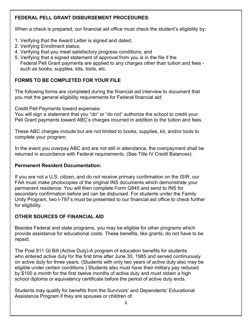# FEDERAL PELL GRANT DISBURSEMENT PROCEDURES:

When a check is prepared, our financial aid office must check the student's eligibility by:

- 1. Verifying that the Award Letter is signed and dated;
- 2. Verifying Enrollment status;
- 4. Verifying that you meet satisfactory progress conditions; and
- 5. Verifying that a signed statement of approval from you is in the file if the Federal Pell Grant payments are applied to any charges other than tuition and fees such as books, supplies, kits, tools, etc.

#### FORMS TO BE COMPLETED FOR YOUR FILE

The following forms are completed during the financial aid interview to document that you met the general eligibility requirements for Federal financial aid:

Credit Pell Payments toward expenses:

You will sign a statement that you "do" or "do not" authorize the school to credit your Pell Grant payments toward ABC's charges incurred in addition to the tuition and fees.

These ABC charges include but are not limited to books, supplies, kit, and/or tools to complete your program.

In the event you overpay ABC and are not still in attendance, the overpayment shall be returned in accordance with Federal requirements. (See Title IV Credit Balances).

#### Permanent Resident Documentation:

If you are not a U.S. citizen, and do not receive primary confirmation on the ISIR, our FAA must make photocopies of the original INS documents which demonstrate your permanent residence. You will then complete Form G845 and send to INS for secondary confirmation before aid can be disbursed. For students under the Family Unity Program, two I-797's must be presented to our financial aid office to check further for eligibility.

# OTHER SOURCES OF FINANCIAL AID

Besides Federal and state programs, you may be eligible for other programs which provide assistance for educational costs. These benefits, like grants, do not have to be repaid.

The Post 911 GI Bill (Active Duty)-A program of education benefits for students who entered active duty for the first time after June 30, 1985 and served continuously on active duty for three years. (Students with only two years of active duty also may be eligible under certain conditions.) Students also must have their military pay reduced by \$100 a month for the first twelve months of active duty and must obtain a high school diploma or equivalency certificate before the period of active duty ends.

Students may qualify for benefits from the Survivors' and Dependents' Educational Assistance Program if they are spouses or children of: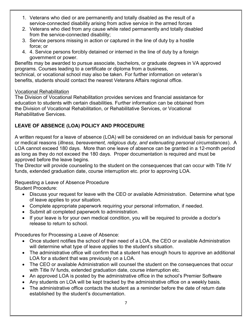- 1. Veterans who died or are permanently and totally disabled as the result of a service-connected disability arising from active service in the armed forces
- 2. Veterans who died from any cause while rated permanently and totally disabled from the service-connected disability;
- 3. Service persons missing in action or captured in the line of duty by a hostile force; or
- 4. 4. Service persons forcibly detained or interned in the line of duty by a foreign government or power.

Benefits may be awarded to pursue associate, bachelors, or graduate degrees in VA approved programs. Courses leading to a certificate or diploma from a business,

technical, or vocational school may also be taken. For further information on veteran's benefits, students should contact the nearest Veterans Affairs regional office.

#### Vocational Rehabilitation

The Division of Vocational Rehabilitation provides services and financial assistance for education to students with certain disabilities. Further information can be obtained from the Division of Vocational Rehabilitation, or Rehabilitative Services, or Vocational Rehabilitative Services.

# LEAVE OF ABSENCE (LOA) POLICY AND PROCEDURE

A written request for a leave of absence (LOA) will be considered on an individual basis for personal or medical reasons (illness, bereavement, religious duty, and extenuating personal circumstances). A LOA cannot exceed 180 days. More than one leave of absence can be granted in a 12-month period as long as they do not exceed the 180 days. Proper documentation is required and must be approved before the leave begins.

The Director will provide counseling to the student on the consequences that can occur with Title IV funds, extended graduation date, course interruption etc. prior to approving LOA.

Requesting a Leave of Absence Procedure Student Procedure:

- Discuss your request for leave with the CEO or available Administration. Determine what type of leave applies to your situation.
- Complete appropriate paperwork requiring your personal information, if needed.
- Submit all completed paperwork to administration.
- If your leave is for your own medical condition, you will be required to provide a doctor's release to return to school.

Procedures for Processing a Leave of Absence:

- Once student notifies the school of their need of a LOA, the CEO or available Administration will determine what type of leave applies to the student's situation.
- The administrative office will confirm that a student has enough hours to approve an additional LOA for a student that was previously on a LOA.
- The CEO or available Administration will counsel the student on the consequences that occur with Title IV funds, extended graduation date, course interruption etc.
- An approved LOA is posted by the administrative office in the school's Premier Software
- Any students on LOA will be kept tracked by the administrative office on a weekly basis.
- The administrative office contacts the student as a reminder before the date of return date established by the student's documentation.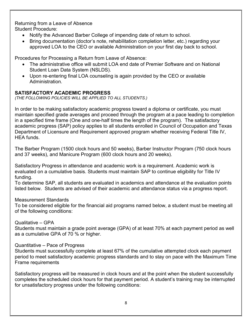Returning from a Leave of Absence Student Procedure:

- Notify the Advanced Barber College of impending date of return to school.
- Bring documentation (doctor's note, rehabilitation completion letter, etc.) regarding your approved LOA to the CEO or available Administration on your first day back to school.

Procedures for Processing a Return from Leave of Absence:

- The administrative office will submit LOA end date of Premier Software and on National Student Loan Data System (NSLDS).
- Upon re-entering final LOA counseling is again provided by the CEO or available Administration.

#### SATISFACTORY ACADEMIC PROGRESS

(THE FOLLOWING POLICIES WILL BE APPLIED TO ALL STUDENTS.)

In order to be making satisfactory academic progress toward a diploma or certificate, you must maintain specified grade averages and proceed through the program at a pace leading to completion in a specified time frame (One and one-half times the length of the program). The satisfactory academic progress (SAP) policy applies to all students enrolled in Council of Occupation and Texas Department of Licensure and Requirement approved program whether receiving Federal Title IV, HEA funds.

The Barber Program (1500 clock hours and 50 weeks), Barber Instructor Program (750 clock hours and 37 weeks), and Manicure Program (600 clock hours and 20 weeks).

Satisfactory Progress in attendance and academic work is a requirement. Academic work is evaluated on a cumulative basis. Students must maintain SAP to continue eligibility for Title IV funding.

To determine SAP, all students are evaluated in academics and attendance at the evaluation points listed below. Students are advised of their academic and attendance status via a progress report.

#### Measurement Standards

To be considered eligible for the financial aid programs named below, a student must be meeting all of the following conditions:

#### Qualitative – GPA

Students must maintain a grade point average (GPA) of at least 70% at each payment period as well as a cumulative GPA of 70 % or higher.

#### Quantitative – Pace of Progress

Students must successfully complete at least 67% of the cumulative attempted clock each payment period to meet satisfactory academic progress standards and to stay on pace with the Maximum Time Frame requirements

Satisfactory progress will be measured in clock hours and at the point when the student successfully completes the scheduled clock hours for that payment period. A student's training may be interrupted for unsatisfactory progress under the following conditions: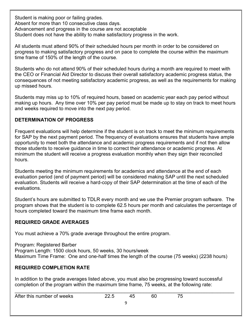Student is making poor or failing grades. Absent for more than 10 consecutive class days. Advancement and progress in the course are not acceptable Student does not have the ability to make satisfactory progress in the work.

All students must attend 90% of their scheduled hours per month in order to be considered on progress to making satisfactory progress and on pace to complete the course within the maximum time frame of 150% of the length of the course.

Students who do not attend 90% of their scheduled hours during a month are required to meet with the CEO or Financial Aid Director to discuss their overall satisfactory academic progress status, the consequences of not meeting satisfactory academic progress, as well as the requirements for making up missed hours.

Students may miss up to 10% of required hours, based on academic year each pay period without making up hours. Any time over 10% per pay period must be made up to stay on track to meet hours and weeks required to move into the next pay period.

#### DETERMINATION OF PROGRESS

Frequent evaluations will help determine if the student is on track to meet the minimum requirements for SAP by the next payment period. The frequency of evaluations ensures that students have ample opportunity to meet both the attendance and academic progress requirements and if not then allow those students to receive guidance in time to correct their attendance or academic progress. At minimum the student will receive a progress evaluation monthly when they sign their reconciled hours.

Students meeting the minimum requirements for academics and attendance at the end of each evaluation period (end of payment period) will be considered making SAP until the next scheduled evaluation. Students will receive a hard-copy of their SAP determination at the time of each of the evaluations.

Student's hours are submitted to TDLR every month and we use the Premier program software. The program shows that the student is to complete 62.5 hours per month and calculates the percentage of hours completed toward the maximum time frame each month.

#### REQUIRED GRADE AVERAGES

You must achieve a 70% grade average throughout the entire program.

Program: Registered Barber Program Length: 1500 clock hours, 50 weeks, 30 hours/week Maximum Time Frame: One and one-half times the length of the course (75 weeks) (2238 hours)

# REQUIRED COMPLETION RATE

In addition to the grade averages listed above, you must also be progressing toward successful completion of the program within the maximum time frame, 75 weeks, at the following rate:

| After this number of weeks | 45 |  |
|----------------------------|----|--|
|                            |    |  |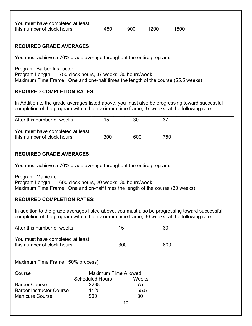| You must have completed at least |     |     |      |      |
|----------------------------------|-----|-----|------|------|
| this number of clock hours       | 450 | 900 | 1200 | 1500 |
|                                  |     |     |      |      |

#### REQUIRED GRADE AVERAGES:

You must achieve a 70% grade average throughout the entire program.

Program: Barber Instructor Program Length: 750 clock hours, 37 weeks, 30 hours/week Maximum Time Frame: One and one-half times the length of the course (55.5 weeks)

#### REQUIRED COMPLETION RATES:

In Addition to the grade averages listed above, you must also be progressing toward successful completion of the program within the maximum time frame, 37 weeks, at the following rate:

| After this number of weeks                                     | 15  | 30  |     |
|----------------------------------------------------------------|-----|-----|-----|
| You must have completed at least<br>this number of clock hours | 300 | 600 | 750 |

#### REQUIRED GRADE AVERAGES:

You must achieve a 70% grade average throughout the entire program.

Program: Manicure Program Length: 600 clock hours, 20 weeks, 30 hours/week Maximum Time Frame: One and on-half times the length of the course (30 weeks)

#### REQUIRED COMPLETION RATES:

In addition to the grade averages listed above, you must also be progressing toward successful completion of the program within the maximum time frame, 30 weeks, at the following rate:

| After this number of weeks                                     |                                                       | 15    | 30  |  |  |  |  |
|----------------------------------------------------------------|-------------------------------------------------------|-------|-----|--|--|--|--|
| You must have completed at least<br>this number of clock hours |                                                       | 300   | 600 |  |  |  |  |
| Maximum Time Frame 150% process)                               |                                                       |       |     |  |  |  |  |
| Course                                                         | <b>Maximum Time Allowed</b><br><b>Scheduled Hours</b> | Weeks |     |  |  |  |  |
| <b>Barber Course</b>                                           | 2238                                                  | 75    |     |  |  |  |  |
| <b>Barber Instructor Course</b>                                | 1125                                                  | 55.5  |     |  |  |  |  |
| <b>Manicure Course</b>                                         | 900                                                   | 30    |     |  |  |  |  |
|                                                                |                                                       | 10    |     |  |  |  |  |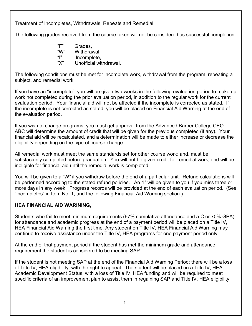Treatment of Incompletes, Withdrawals, Repeats and Remedial

The following grades received from the course taken will not be considered as successful completion:

 "F" Grades, "W" Withdrawal, "I" Incomplete, "X" Unofficial withdrawal.

The following conditions must be met for incomplete work, withdrawal from the program, repeating a subject, and remedial work:

If you have an "incomplete", you will be given two weeks in the following evaluation period to make up work not completed during the prior evaluation period, in addition to the regular work for the current evaluation period. Your financial aid will not be affected if the incomplete is corrected as stated. If the incomplete is not corrected as stated, you will be placed on Financial Aid Warning at the end of the evaluation period.

If you wish to change programs, you must get approval from the Advanced Barber College CEO. ABC will determine the amount of credit that will be given for the previous completed (if any). Your financial aid will be recalculated, and a determination will be made to either increase or decrease the eligibility depending on the type of course change

All remedial work must meet the same standards set for other course work; and, must be satisfactorily completed before graduation. You will not be given credit for remedial work, and will be ineligible for financial aid until the remedial work is completed

You will be given to a "W" if you withdraw before the end of a particular unit. Refund calculations will be performed according to the stated refund policies. An "I" will be given to you if you miss three or more days in any week. Progress records will be provided at the end of each evaluation period. (See "incompletes" in Item No. 1, and the following Financial Aid Warning section.)

#### HEA FINANCIAL AID WARINING,

Students who fail to meet minimum requirements (67% cumulative attendance and a C or 70% GPA) for attendance and academic progress at the end of a payment period will be placed on a Title IV, HEA Financial Aid Warning the first time. Any student on Title IV, HEA Financial Aid Warning may continue to receive assistance under the Title IV, HEA programs for one payment period only.

At the end of that payment period if the student has met the minimum grade and attendance requirement the student is considered to be meeting SAP.

If the student is not meeting SAP at the end of the Financial Aid Warning Period; there will be a loss of Title IV, HEA eligibility; with the right to appeal. The student will be placed on a Title IV, HEA Academic Development Status, with a loss of Title IV, HEA funding and will be required to meet specific criteria of an improvement plan to assist them in regaining SAP and Title IV, HEA eligibility.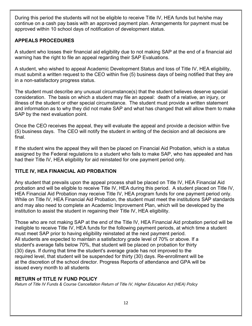During this period the students will not be eligible to receive Title IV, HEA funds but he/she may continue on a cash pay basis with an approved payment plan. Arrangements for payment must be approved within 10 school days of notification of development status.

# APPEALS PROCEDURES

A student who losses their financial aid eligibility due to not making SAP at the end of a financial aid warning has the right to file an appeal regarding their SAP Evaluations.

A student, who wished to appeal Academic Development Status and loss of Title IV, HEA eligibility, must submit a written request to the CEO within five (5) business days of being notified that they are in a non-satisfactory progress status.

The student must describe any unusual circumstance(s) that the student believes deserve special consideration. The basis on which a student may file an appeal: death of a relative, an injury, or illness of the student or other special circumstance. The student must provide a written statement and information as to why they did not make SAP and what has changed that will allow them to make SAP by the next evaluation point.

Once the CEO receives the appeal, they will evaluate the appeal and provide a decision within five (5) business days. The CEO will notify the student in writing of the decision and all decisions are final.

If the student wins the appeal they will then be placed on Financial Aid Probation, which is a status assigned by the Federal regulations to a student who fails to make SAP, who has appealed and has had their Title IV, HEA eligibility for aid reinstated for one payment period only.

# TITLE IV, HEA FINANCIAL AID PROBATION

Any student that prevails upon the appeal process shall be placed on Title IV, HEA Financial Aid probation and will be eligible to receive Title IV, HEA during this period. A student placed on Title IV, HEA Financial Aid Probation may receive Title IV, HEA program funds for one payment period only. While on Title IV, HEA Financial Aid Probation, the student must meet the institutions SAP standards and may also need to complete an Academic Improvement Plan, which will be developed by the institution to assist the student in regaining their Title IV, HEA eligibility.

Those who are not making SAP at the end of the Title IV, HEA Financial Aid probation period will be ineligible to receive Title IV, HEA funds for the following payment periods, at which time a student must meet SAP prior to having eligibility reinstated at the next payment period. All students are expected to maintain a satisfactory grade level of 70% or above. If a student's average falls below 70%, that student will be placed on probation for thirty (30) days. If during that time the student's average grade has not improved to the required level, that student will be suspended for thirty (30) days. Re-enrollment will be at the discretion of the school director. Progress Reports of attendance and GPA will be issued every month to all students

#### RETURN of TITLE IV FUND POLICY

Return of Title IV Funds & Course Cancellation Return of Title IV, Higher Education Act (HEA) Policy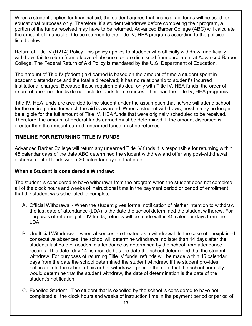When a student applies for financial aid, the student agrees that financial aid funds will be used for educational purposes only. Therefore, if a student withdraws before completing their program, a portion of the funds received may have to be returned. Advanced Barber College (ABC) will calculate the amount of financial aid to be returned to the Title IV, HEA programs according to the policies listed below.

Return of Title IV (R2T4) Policy This policy applies to students who officially withdraw, unofficially withdraw, fail to return from a leave of absence, or are dismissed from enrollment at Advanced Barber College. The Federal Return of Aid Policy is mandated by the U.S. Department of Education.

The amount of Title IV (federal) aid earned is based on the amount of time a student spent in academic attendance and the total aid received; it has no relationship to student's incurred institutional charges. Because these requirements deal only with Title IV, HEA funds, the order of return of unearned funds do not include funds from sources other than the Title IV, HEA programs.

Title IV, HEA funds are awarded to the student under the assumption that he/she will attend school for the entire period for which the aid is awarded. When a student withdraws, he/she may no longer be eligible for the full amount of Title IV, HEA funds that were originally scheduled to be received. Therefore, the amount of Federal funds earned must be determined. If the amount disbursed is greater than the amount earned, unearned funds must be returned.

#### TIMELINE FOR RETURNING TITLE IV FUNDS

Advanced Barber College will return any unearned Title IV funds it is responsible for returning within 45 calendar days of the date ABC determined the student withdrew and offer any post-withdrawal disbursement of funds within 30 calendar days of that date.

#### When a Student is considered a Withdraw:

The student is considered to have withdrawn from the program when the student does not complete all of the clock hours and weeks of instructional time in the payment period or period of enrollment that the student was scheduled to complete.

- A. Official Withdrawal When the student gives formal notification of his/her intention to withdraw, the last date of attendance (LDA) is the date the school determined the student withdrew. For purposes of returning title IV funds, refunds will be made within 45 calendar days from the LDA.
- B. Unofficial Withdrawal when absences are treated as a withdrawal. In the case of unexplained consecutive absences, the school will determine withdrawal no later than 14 days after the students last date of academic attendance as determined by the school from attendance records. This date (day 14) is recorded as the date the school determined that the student withdrew. For purposes of returning Title IV funds, refunds will be made within 45 calendar days from the date the school determined the student withdrew. If the student provides notification to the school of his or her withdrawal prior to the date that the school normally would determine that the student withdrew, the date of determination is the date of the student's notification.
- C. Expelled Student The student that is expelled by the school is considered to have not completed all the clock hours and weeks of instruction time in the payment period or period of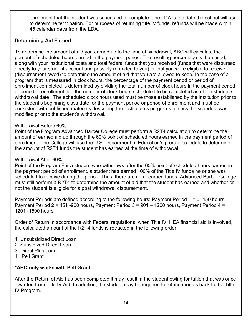enrollment that the student was scheduled to complete. The LDA is the date the school will use to determine termination. For purposes of returning title IV funds, refunds will be made within 45 calendar days from the LDA.

#### Determining Aid Earned

To determine the amount of aid you earned up to the time of withdrawal, ABC will calculate the percent of scheduled hours earned in the payment period. The resulting percentage is then used, along with your institutional costs and total federal funds that you received (funds that were disbursed directly to your student account and possibly refunded to you) or that you were eligible to receive (disbursement owed) to determine the amount of aid that you are allowed to keep. In the case of a program that is measured in clock hours, the percentage of the payment period or period of enrollment completed is determined by dividing the total number of clock hours in the payment period or period of enrollment into the number of clock hours scheduled to be completed as of the student's withdrawal date. The scheduled clock hours used must be those established by the institution prior to the student's beginning class date for the payment period or period of enrollment and must be consistent with published materials describing the institution's programs, unless the schedule was modified prior to the student's withdrawal.

#### Withdrawal Before 60%

Point of the Program Advanced Barber College must perform a R2T4 calculation to determine the amount of earned aid up through the 60% point of scheduled hours earned in the payment period of enrollment. The College will use the U.S. Department of Education's prorate schedule to determine the amount of R2T4 funds the student has earned at the time of withdrawal.

#### Withdrawal After 60%

Point of the Program For a student who withdraws after the 60% point of scheduled hours earned in the payment period of enrollment, a student has earned 100% of the Title IV funds he or she was scheduled to receive during the period. Thus, there are no unearned funds. Advanced Barber College must still perform a R2T4 to determine the amount of aid that the student has earned and whether or not the student is eligible for a post withdrawal disbursement.

Payment Periods are defined according to the following hours: Payment Period 1 = 0 -450 hours, Payment Period 2 = 451 -900 hours, Payment Period  $3 = 901 - 1200$  hours, Payment Period 4 = 1201 -1500 hours

Order of Return In accordance with Federal regulations, when Title IV, HEA financial aid is involved, the calculated amount of the R2T4 funds is retracted in the following order:

- 1. Unsubsidized Direct Loan
- 2. Subsidized Direct Loan
- 3. Direct Plus Loan
- 4. Pell Grant

#### \*ABC only works with Pell Grant.

After the Return of Aid has been completed it may result in the student owing for tuition that was once awarded from Title IV Aid. In addition, the student may be required to refund monies back to the Title IV Program.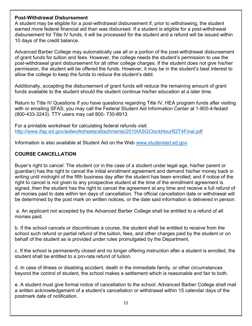#### Post-Withdrawal Disbursement

A student may be eligible for a post-withdrawal disbursement if, prior to withdrawing, the student earned more federal financial aid than was disbursed. If a student is eligible for a post-withdrawal disbursement for Title IV funds, it will be processed for the student and a refund will be issued within 10 days of the credit balance.

Advanced Barber College may automatically use all or a portion of the post-withdrawal disbursement of grant funds for tuition and fees. However, the college needs the student's permission to use the post-withdrawal grant disbursement for all other college charges. If the student does not give his/her permission, the student will be offered the funds. However, it may be in the student's best interest to allow the college to keep the funds to reduce the student's debt.

Additionally, accepting the disbursement of grant funds will reduce the remaining amount of grant funds available to the student should the student continue his/her education at a later time.

Return to Title IV Questions If you have questions regarding Title IV, HEA program funds after visiting with or emailing SFAS, you may call the Federal Student Aid Information Center at 1-800-4-fedaid (800-433-3243). TTY users may call 800- 730-8913.

For a printable worksheet for calculating federal refunds visit: http://www.ifap.ed.gov/aidworksheets/attachments/2010IASGClockHourR2T4Final.pdf

Information is also available at Student Aid on the Web www.studentaid.ed.gov.

#### COURSE CANCELLATION

Buyer's right to cancel: The student (or in the case of a student under legal age, his/her parent or guardian) has the right to cancel the initial enrollment agreement and demand his/her money back in writing until midnight of the fifth business day after the student has been enrolled; and if notice of the right to cancel is not given to any prospective student at the time of the enrollment agreement is signed, then the student has the right to cancel the agreement at any time and receive a full refund of all monies paid to date within ten days of cancellation. The official cancellation date or withdrawal will be determined by the post mark on written notices, or the date said information is delivered in person.

 a. An applicant not accepted by the Advanced Barber College shall be entitled to a refund of all monies paid.

b. If the school cancels or discontinues a course, the student shall be entitled to receive from the school such refund or partial refund of the tuition, fees, and other charges paid by the student or on behalf of the student as is provided under rules promulgated by the Department.

c. If the school is permanently closed and no longer offering instruction after a student is enrolled, the student shall be entitled to a pro-rata refund of tuition.

d. In case of illness or disabling accident, death in the immediate family, or other circumstances beyond the control of student, the school makes a settlement which is reasonable and fair to both.

e. A student must give formal notice of cancellation to the school. Advanced Barber College shall mail a written acknowledgement of a student's cancellation or withdrawal within 15 calendar days of the postmark date of notification.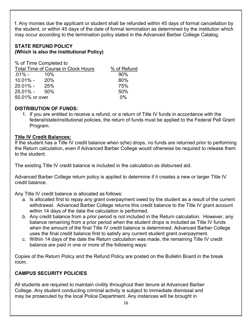f. Any monies due the applicant or student shall be refunded within 45 days of formal cancellation by the student, or within 45 days of the date of formal termination as determined by the institution which may occur according to the termination policy stated in the Advanced Barber College Catalog.

#### STATE REFUND POLICY (Which is also the Institutional Policy)

% of Time Completed to

| Total Time of Course in Clock Hours |     | % of Refund |
|-------------------------------------|-----|-------------|
| .01% -                              | 10% | 90%         |
| 10.01% -                            | 20% | 80%         |
| $20.01\%$ -                         | 25% | 75%         |
| $25.01\% - 50\%$                    |     | 50%         |
| 50.01% or over                      |     | $0\%$       |

#### DISTRIBUTION OF FUNDS:

1. If you are entitled to receive a refund, or a return of Title IV funds in accordance with the federal/state/institutional policies, the return of funds must be applied to the Federal Pell Grant Program.

#### Title IV Credit Balances:

If the student has a Title IV credit balance when s(he) drops, no funds are returned prior to performing the Return calculation, even if Advanced Barber College would otherwise be required to release them to the student.

The existing Title IV credit balance is included in the calculation as disbursed aid.

Advanced Barber College return policy is applied to determine if it creates a new or larger Title IV credit balance.

Any Title IV credit balance is allocated as follows:

- a. Is allocated first to repay any grant overpayment owed by the student as a result of the current withdrawal. Advanced Barber College returns this credit balance to the Title IV grant account within 14 days of the date the calculation is performed.
- b. Any credit balance from a prior period is not included in the Return calculation. However, any balance remaining from a prior period when the student drops is included as Title IV funds when the amount of the final Title IV credit balance is determined. Advanced Barber College uses the final credit balance first to satisfy any current student grant overpayment.
- c. Within 14 days of the date the Return calculation was made, the remaining Title IV credit balance are paid in one or more of the following ways:

Copies of the Return Policy and the Refund Policy are posted on the Bulletin Board in the break room.

# CAMPUS SECURITY POLICIES

All students are required to maintain civility throughout their tenure at Advanced Barber College. Any student conducting criminal activity is subject to immediate dismissal and may be prosecuted by the local Police Department. Any instances will be brought in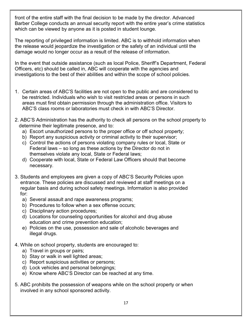front of the entire staff with the final decision to be made by the director. Advanced Barber College conducts an annual security report with the entire year's crime statistics which can be viewed by anyone as it is posted in student lounge.

The reporting of privileged information is limited. ABC is to withhold information when the release would jeopardize the investigation or the safety of an individual until the damage would no longer occur as a result of the release of information.

In the event that outside assistance (such as local Police, Sheriff's Department, Federal Officers, etc) should be called in, ABC will cooperate with the agencies and investigations to the best of their abilities and within the scope of school policies.

- 1. Certain areas of ABC'S facilities are not open to the public and are considered to be restricted. Individuals who wish to visit restricted areas or persons in such areas must first obtain permission through the administration office. Visitors to ABC'S class rooms or laboratories must check in with ABC'S Director.
- 2. ABC'S Administration has the authority to check all persons on the school property to determine their legitimate presence, and to:
	- a) Escort unauthorized persons to the proper office or off school property;
	- b) Report any suspicious activity or criminal activity to their supervisor;
	- c) Control the actions of persons violating company rules or local, State or Federal laws – so long as these actions by the Director do not in themselves violate any local, State or Federal laws;
	- d) Cooperate with local, State or Federal Law Officers should that become necessary.
- 3. Students and employees are given a copy of ABC'S Security Policies upon entrance. These policies are discussed and reviewed at staff meetings on a regular basis and during school safety meetings. Information is also provided for:
	- a) Several assault and rape awareness programs;
	- b) Procedures to follow when a sex offense occurs;
	- c) Disciplinary action procedures;
	- d) Locations for counseling opportunities for alcohol and drug abuse education and crime prevention education;
	- e) Policies on the use, possession and sale of alcoholic beverages and illegal drugs.
- 4. While on school property, students are encouraged to:
	- a) Travel in groups or pairs;
	- b) Stay or walk in well lighted areas;
	- c) Report suspicious activities or persons;
	- d) Lock vehicles and personal belongings;
	- e) Know where ABC'S Director can be reached at any time.
- 5. ABC prohibits the possession of weapons while on the school property or when involved in any school sponsored activity.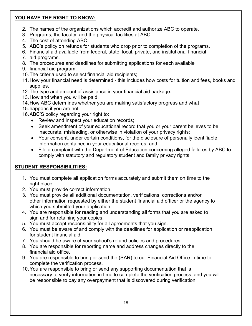# YOU HAVE THE RIGHT TO KNOW:

- 2. The names of the organizations which accredit and authorize ABC to operate.
- 3. Programs, the faculty, and the physical facilities at ABC.
- 4. The cost of attending ABC.
- 5. ABC's policy on refunds for students who drop prior to completion of the programs.
- 6. Financial aid available from federal, state, local, private, and institutional financial
- 7. aid programs.
- 8. The procedures and deadlines for submitting applications for each available
- 9. financial aid program.
- 10. The criteria used to select financial aid recipients;
- 11. How your financial need is determined this includes how costs for tuition and fees, books and supplies.
- 12. The type and amount of assistance in your financial aid package.
- 13. How and when you will be paid.
- 14. How ABC determines whether you are making satisfactory progress and what
- 15. happens if you are not.
- 16. ABC'S policy regarding your right to:
	- Review and inspect your education records;
	- Seek amendment of your educational record that you or your parent believes to be inaccurate, misleading, or otherwise in violation of your privacy rights;
	- Your consent, under certain conditions, for the disclosure of personally identifiable information contained in your educational records; and
	- File a complaint with the Department of Education concerning alleged failures by ABC to comply with statutory and regulatory student and family privacy rights.

# STUDENT RESPONSIBILITIES:

- 1. You must complete all application forms accurately and submit them on time to the right place.
- 2. You must provide correct information.
- 3. You must provide all additional documentation, verifications, corrections and/or other information requested by either the student financial aid officer or the agency to which you submitted your application.
- 4. You are responsible for reading and understanding all forms that you are asked to sign and for retaining your copies.
- 5. You must accept responsibility for all agreements that you sign.
- 6. You must be aware of and comply with the deadlines for application or reapplication for student financial aid.
- 7. You should be aware of your school's refund policies and procedures.
- 8. You are responsible for reporting name and address changes directly to the financial aid office.
- 9. You are responsible to bring or send the (SAR) to our Financial Aid Office in time to complete the verification process.
- 10. You are responsible to bring or send any supporting documentation that is necessary to verify information in time to complete the verification process; and you will be responsible to pay any overpayment that is discovered during verification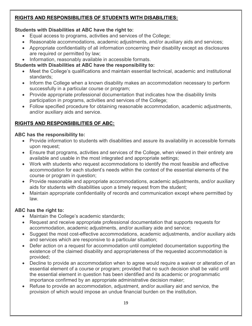# RIGHTS AND RESPONSIBILITIES OF STUDENTS WITH DISABILITIES:

# Students with Disabilities at ABC have the right to:

- Equal access to programs, activities and services of the College;
- Reasonable accommodations, academic adjustments, and/or auxiliary aids and services;
- Appropriate confidentiality of all information concerning their disability except as disclosures are required or permitted by law;
- Information, reasonably available in accessible formats.

# Students with Disabilities at ABC have the responsibility to:

- Meet the College's qualifications and maintain essential technical, academic and institutional standards;
- Inform the College when a known disability makes an accommodation necessary to perform successfully in a particular course or program;
- Provide appropriate professional documentation that indicates how the disability limits participation in programs, activities and services of the College;
- Follow specified procedure for obtaining reasonable accommodation, academic adjustments, and/or auxiliary aids and service.

# RIGHTS AND RESPONSIBILITIES OF ABC:

#### ABC has the responsibility to:

- Provide information to students with disabilities and assure its availability in accessible formats upon request;
- Ensure that programs, activities and services of the College, when viewed in their entirety are available and usable in the most integrated and appropriate settings;
- Work with students who request accommodations to identify the most feasible and effective accommodation for each student's needs within the context of the essential elements of the course or program in question;
- Provide reasonable and appropriate accommodations, academic adjustments, and/or auxiliary aids for students with disabilities upon a timely request from the student;
- Maintain appropriate confidentiality of records and communication except where permitted by law.

# ABC has the right to:

- Maintain the College's academic standards;
- Request and receive appropriate professional documentation that supports requests for accommodation, academic adjustments, and/or auxiliary aide and service;
- Suggest the most cost-effective accommodations, academic adjustments, and/or auxiliary aids and services which are responsive to a particular situation;
- Defer action on a request for accommodation until completed documentation supporting the existence of the claimed disability and appropriateness of the requested accommodation is provided;
- Decline to provide an accommodation when to agree would require a waiver or alteration of an essential element of a course or program; provided that no such decision shall be valid until the essential element in question has been identified and its academic or programmatic importance confirmed by an appropriate administrative decision maker;
- Refuse to provide an accommodation, adjustment, and/or auxiliary aid and service, the provision of which would impose an undue financial burden on the institution.